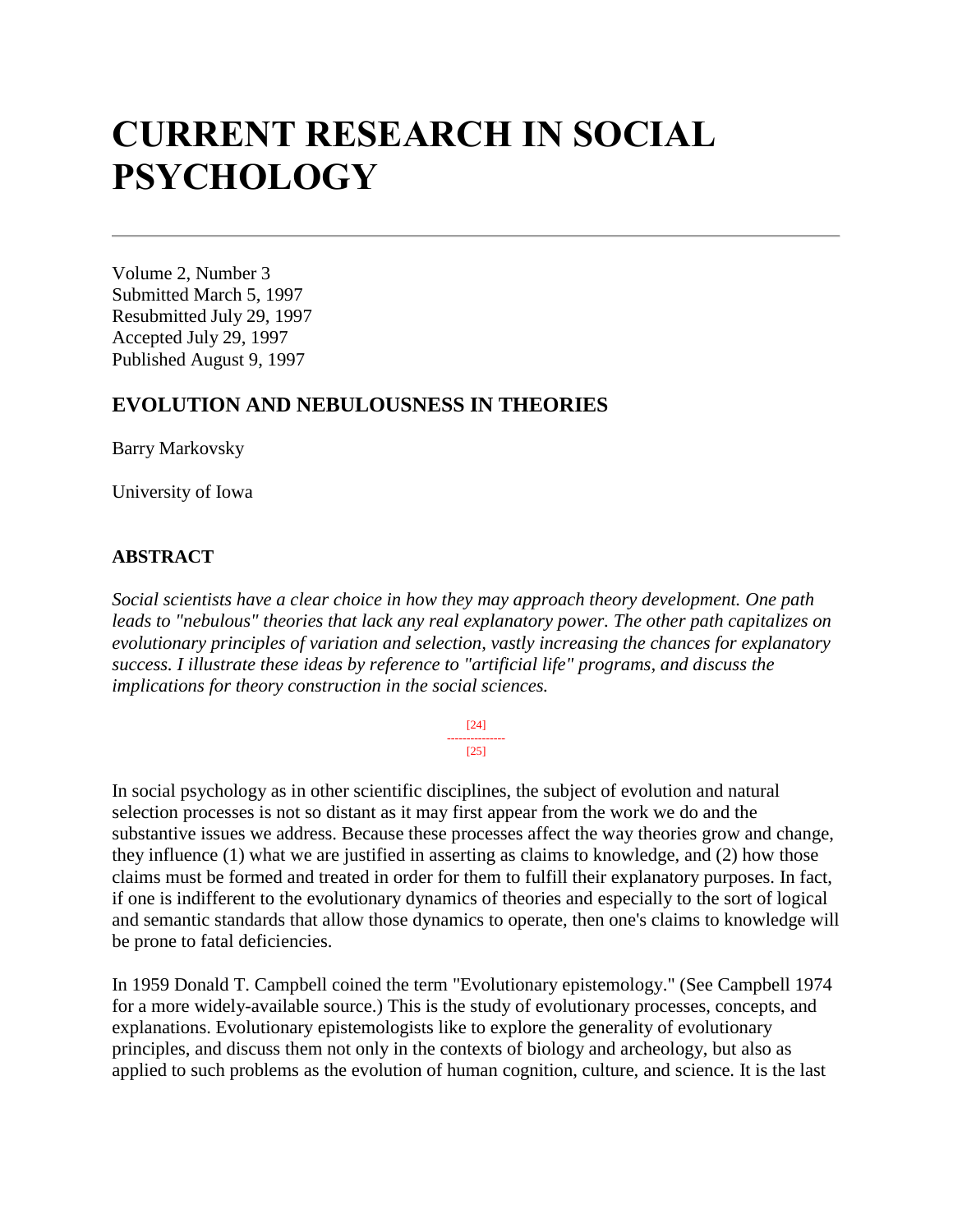# **CURRENT RESEARCH IN SOCIAL PSYCHOLOGY**

Volume 2, Number 3 Submitted March 5, 1997 Resubmitted July 29, 1997 Accepted July 29, 1997 Published August 9, 1997

## **EVOLUTION AND NEBULOUSNESS IN THEORIES**

Barry Markovsky

University of Iowa

#### **ABSTRACT**

*Social scientists have a clear choice in how they may approach theory development. One path leads to "nebulous" theories that lack any real explanatory power. The other path capitalizes on evolutionary principles of variation and selection, vastly increasing the chances for explanatory success. I illustrate these ideas by reference to "artificial life" programs, and discuss the implications for theory construction in the social sciences.*

> [24] --------------- [25]

In social psychology as in other scientific disciplines, the subject of evolution and natural selection processes is not so distant as it may first appear from the work we do and the substantive issues we address. Because these processes affect the way theories grow and change, they influence (1) what we are justified in asserting as claims to knowledge, and (2) how those claims must be formed and treated in order for them to fulfill their explanatory purposes. In fact, if one is indifferent to the evolutionary dynamics of theories and especially to the sort of logical and semantic standards that allow those dynamics to operate, then one's claims to knowledge will be prone to fatal deficiencies.

In 1959 Donald T. Campbell coined the term "Evolutionary epistemology." (See Campbell 1974 for a more widely-available source.) This is the study of evolutionary processes, concepts, and explanations. Evolutionary epistemologists like to explore the generality of evolutionary principles, and discuss them not only in the contexts of biology and archeology, but also as applied to such problems as the evolution of human cognition, culture, and science. It is the last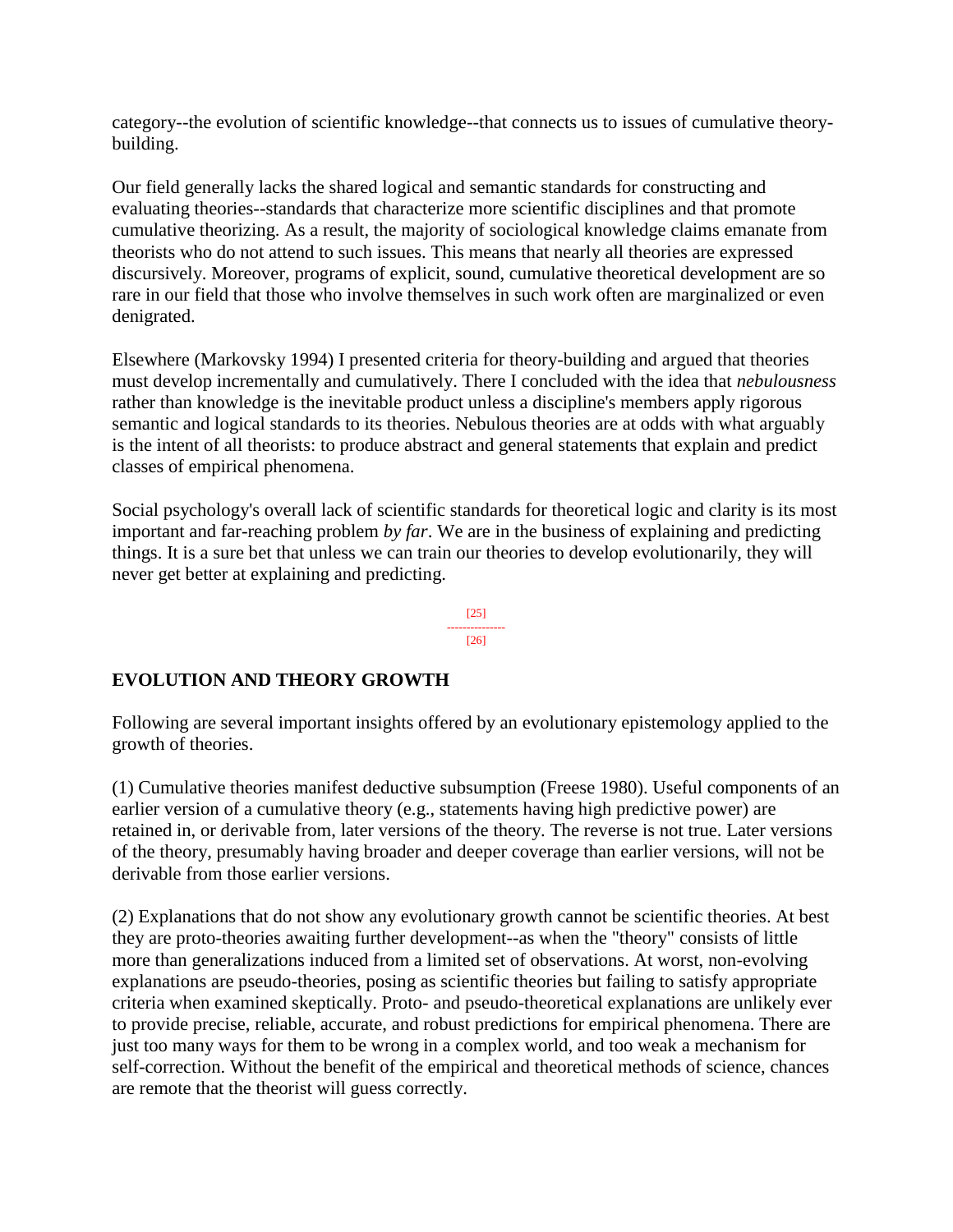category--the evolution of scientific knowledge--that connects us to issues of cumulative theorybuilding.

Our field generally lacks the shared logical and semantic standards for constructing and evaluating theories--standards that characterize more scientific disciplines and that promote cumulative theorizing. As a result, the majority of sociological knowledge claims emanate from theorists who do not attend to such issues. This means that nearly all theories are expressed discursively. Moreover, programs of explicit, sound, cumulative theoretical development are so rare in our field that those who involve themselves in such work often are marginalized or even denigrated.

Elsewhere (Markovsky 1994) I presented criteria for theory-building and argued that theories must develop incrementally and cumulatively. There I concluded with the idea that *nebulousness*  rather than knowledge is the inevitable product unless a discipline's members apply rigorous semantic and logical standards to its theories. Nebulous theories are at odds with what arguably is the intent of all theorists: to produce abstract and general statements that explain and predict classes of empirical phenomena.

Social psychology's overall lack of scientific standards for theoretical logic and clarity is its most important and far-reaching problem *by far*. We are in the business of explaining and predicting things. It is a sure bet that unless we can train our theories to develop evolutionarily, they will never get better at explaining and predicting.

> [25] --------------- [26]

## **EVOLUTION AND THEORY GROWTH**

Following are several important insights offered by an evolutionary epistemology applied to the growth of theories.

(1) Cumulative theories manifest deductive subsumption (Freese 1980). Useful components of an earlier version of a cumulative theory (e.g., statements having high predictive power) are retained in, or derivable from, later versions of the theory. The reverse is not true. Later versions of the theory, presumably having broader and deeper coverage than earlier versions, will not be derivable from those earlier versions.

(2) Explanations that do not show any evolutionary growth cannot be scientific theories. At best they are proto-theories awaiting further development--as when the "theory" consists of little more than generalizations induced from a limited set of observations. At worst, non-evolving explanations are pseudo-theories, posing as scientific theories but failing to satisfy appropriate criteria when examined skeptically. Proto- and pseudo-theoretical explanations are unlikely ever to provide precise, reliable, accurate, and robust predictions for empirical phenomena. There are just too many ways for them to be wrong in a complex world, and too weak a mechanism for self-correction. Without the benefit of the empirical and theoretical methods of science, chances are remote that the theorist will guess correctly.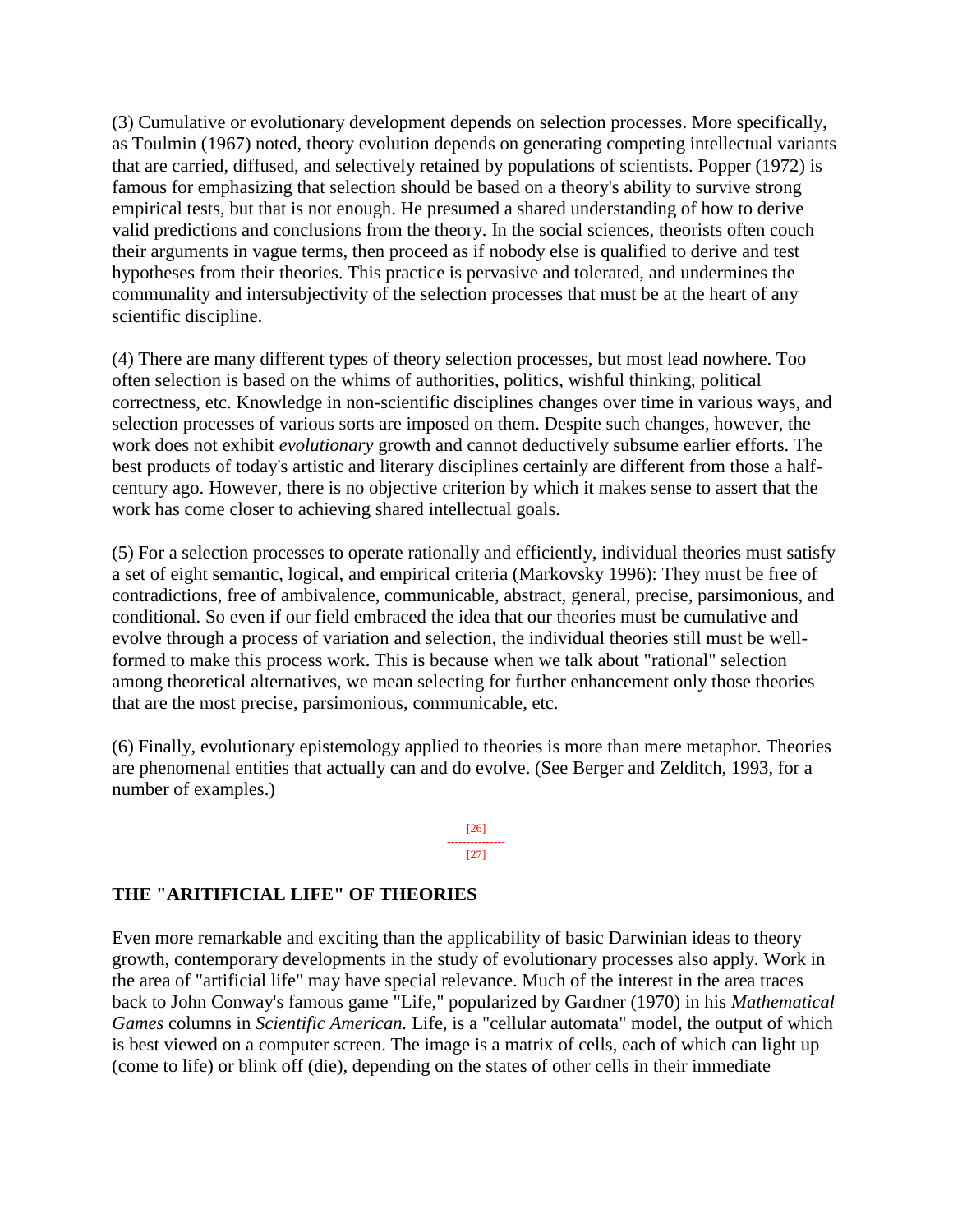(3) Cumulative or evolutionary development depends on selection processes. More specifically, as Toulmin (1967) noted, theory evolution depends on generating competing intellectual variants that are carried, diffused, and selectively retained by populations of scientists. Popper (1972) is famous for emphasizing that selection should be based on a theory's ability to survive strong empirical tests, but that is not enough. He presumed a shared understanding of how to derive valid predictions and conclusions from the theory. In the social sciences, theorists often couch their arguments in vague terms, then proceed as if nobody else is qualified to derive and test hypotheses from their theories. This practice is pervasive and tolerated, and undermines the communality and intersubjectivity of the selection processes that must be at the heart of any scientific discipline.

(4) There are many different types of theory selection processes, but most lead nowhere. Too often selection is based on the whims of authorities, politics, wishful thinking, political correctness, etc. Knowledge in non-scientific disciplines changes over time in various ways, and selection processes of various sorts are imposed on them. Despite such changes, however, the work does not exhibit *evolutionary* growth and cannot deductively subsume earlier efforts. The best products of today's artistic and literary disciplines certainly are different from those a halfcentury ago. However, there is no objective criterion by which it makes sense to assert that the work has come closer to achieving shared intellectual goals.

(5) For a selection processes to operate rationally and efficiently, individual theories must satisfy a set of eight semantic, logical, and empirical criteria (Markovsky 1996): They must be free of contradictions, free of ambivalence, communicable, abstract, general, precise, parsimonious, and conditional. So even if our field embraced the idea that our theories must be cumulative and evolve through a process of variation and selection, the individual theories still must be wellformed to make this process work. This is because when we talk about "rational" selection among theoretical alternatives, we mean selecting for further enhancement only those theories that are the most precise, parsimonious, communicable, etc.

(6) Finally, evolutionary epistemology applied to theories is more than mere metaphor. Theories are phenomenal entities that actually can and do evolve. (See Berger and Zelditch, 1993, for a number of examples.)

> [26] ---------------  $[27]$

## **THE "ARITIFICIAL LIFE" OF THEORIES**

Even more remarkable and exciting than the applicability of basic Darwinian ideas to theory growth, contemporary developments in the study of evolutionary processes also apply. Work in the area of "artificial life" may have special relevance. Much of the interest in the area traces back to John Conway's famous game "Life," popularized by Gardner (1970) in his *Mathematical Games* columns in *Scientific American.* Life, is a "cellular automata" model, the output of which is best viewed on a computer screen. The image is a matrix of cells, each of which can light up (come to life) or blink off (die), depending on the states of other cells in their immediate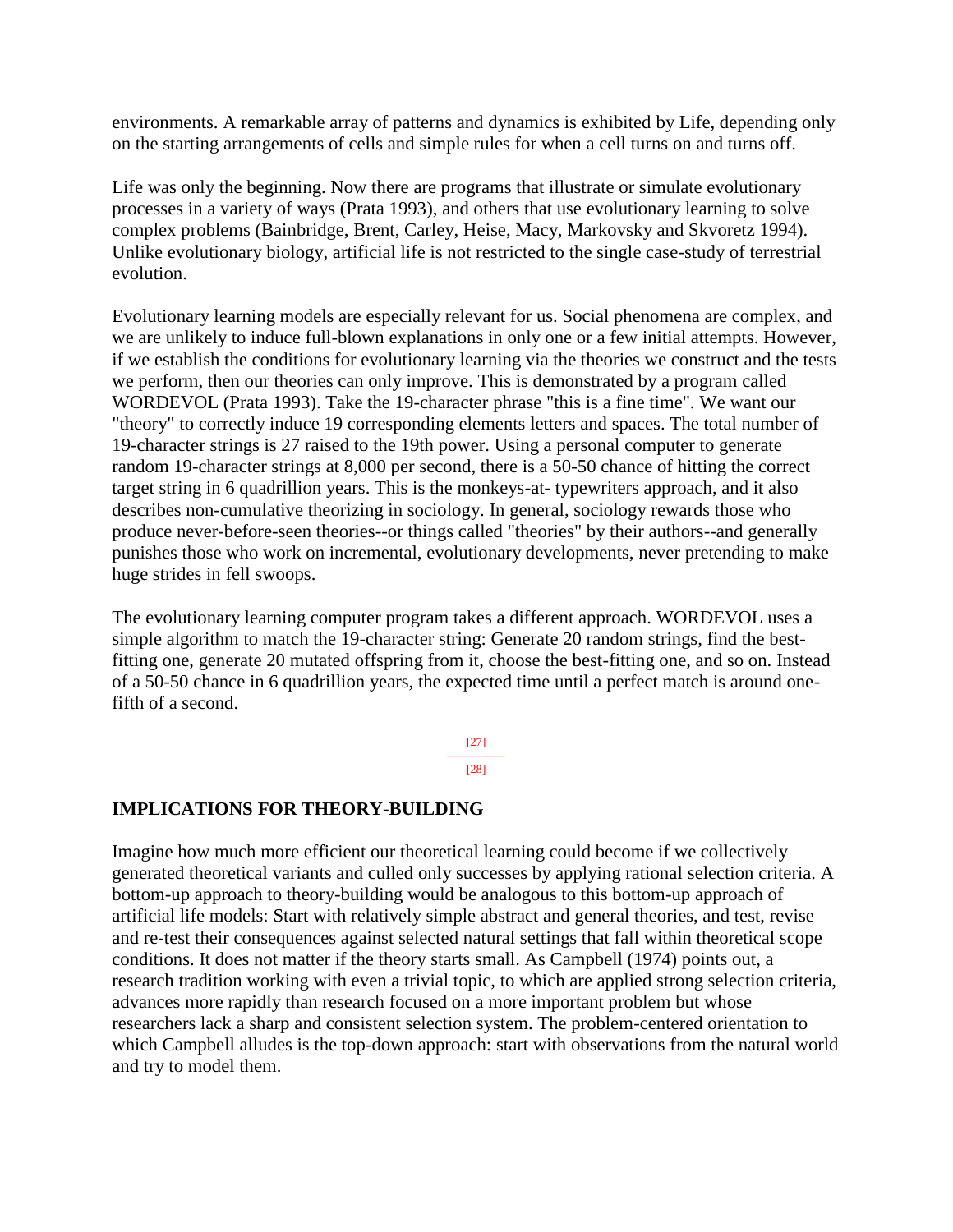environments. A remarkable array of patterns and dynamics is exhibited by Life, depending only on the starting arrangements of cells and simple rules for when a cell turns on and turns off.

Life was only the beginning. Now there are programs that illustrate or simulate evolutionary processes in a variety of ways (Prata 1993), and others that use evolutionary learning to solve complex problems (Bainbridge, Brent, Carley, Heise, Macy, Markovsky and Skvoretz 1994). Unlike evolutionary biology, artificial life is not restricted to the single case-study of terrestrial evolution.

Evolutionary learning models are especially relevant for us. Social phenomena are complex, and we are unlikely to induce full-blown explanations in only one or a few initial attempts. However, if we establish the conditions for evolutionary learning via the theories we construct and the tests we perform, then our theories can only improve. This is demonstrated by a program called WORDEVOL (Prata 1993). Take the 19-character phrase "this is a fine time". We want our "theory" to correctly induce 19 corresponding elements letters and spaces. The total number of 19-character strings is 27 raised to the 19th power. Using a personal computer to generate random 19-character strings at 8,000 per second, there is a 50-50 chance of hitting the correct target string in 6 quadrillion years. This is the monkeys-at- typewriters approach, and it also describes non-cumulative theorizing in sociology. In general, sociology rewards those who produce never-before-seen theories--or things called "theories" by their authors--and generally punishes those who work on incremental, evolutionary developments, never pretending to make huge strides in fell swoops.

The evolutionary learning computer program takes a different approach. WORDEVOL uses a simple algorithm to match the 19-character string: Generate 20 random strings, find the bestfitting one, generate 20 mutated offspring from it, choose the best-fitting one, and so on. Instead of a 50-50 chance in 6 quadrillion years, the expected time until a perfect match is around onefifth of a second.

> [27] --------------- [28]

#### **IMPLICATIONS FOR THEORY-BUILDING**

Imagine how much more efficient our theoretical learning could become if we collectively generated theoretical variants and culled only successes by applying rational selection criteria. A bottom-up approach to theory-building would be analogous to this bottom-up approach of artificial life models: Start with relatively simple abstract and general theories, and test, revise and re-test their consequences against selected natural settings that fall within theoretical scope conditions. It does not matter if the theory starts small. As Campbell (1974) points out, a research tradition working with even a trivial topic, to which are applied strong selection criteria, advances more rapidly than research focused on a more important problem but whose researchers lack a sharp and consistent selection system. The problem-centered orientation to which Campbell alludes is the top-down approach: start with observations from the natural world and try to model them.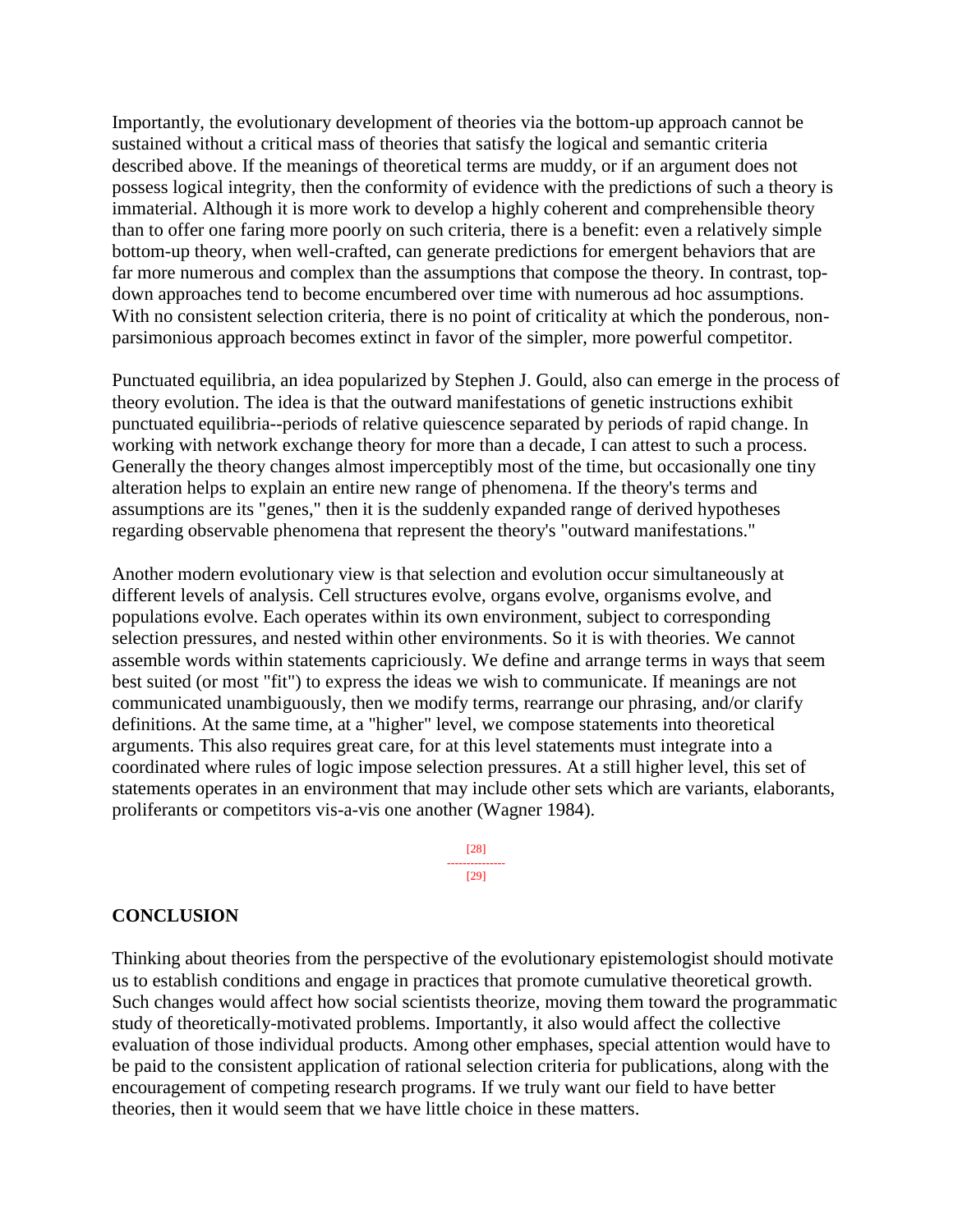Importantly, the evolutionary development of theories via the bottom-up approach cannot be sustained without a critical mass of theories that satisfy the logical and semantic criteria described above. If the meanings of theoretical terms are muddy, or if an argument does not possess logical integrity, then the conformity of evidence with the predictions of such a theory is immaterial. Although it is more work to develop a highly coherent and comprehensible theory than to offer one faring more poorly on such criteria, there is a benefit: even a relatively simple bottom-up theory, when well-crafted, can generate predictions for emergent behaviors that are far more numerous and complex than the assumptions that compose the theory. In contrast, topdown approaches tend to become encumbered over time with numerous ad hoc assumptions. With no consistent selection criteria, there is no point of criticality at which the ponderous, nonparsimonious approach becomes extinct in favor of the simpler, more powerful competitor.

Punctuated equilibria, an idea popularized by Stephen J. Gould, also can emerge in the process of theory evolution. The idea is that the outward manifestations of genetic instructions exhibit punctuated equilibria--periods of relative quiescence separated by periods of rapid change. In working with network exchange theory for more than a decade, I can attest to such a process. Generally the theory changes almost imperceptibly most of the time, but occasionally one tiny alteration helps to explain an entire new range of phenomena. If the theory's terms and assumptions are its "genes," then it is the suddenly expanded range of derived hypotheses regarding observable phenomena that represent the theory's "outward manifestations."

Another modern evolutionary view is that selection and evolution occur simultaneously at different levels of analysis. Cell structures evolve, organs evolve, organisms evolve, and populations evolve. Each operates within its own environment, subject to corresponding selection pressures, and nested within other environments. So it is with theories. We cannot assemble words within statements capriciously. We define and arrange terms in ways that seem best suited (or most "fit") to express the ideas we wish to communicate. If meanings are not communicated unambiguously, then we modify terms, rearrange our phrasing, and/or clarify definitions. At the same time, at a "higher" level, we compose statements into theoretical arguments. This also requires great care, for at this level statements must integrate into a coordinated where rules of logic impose selection pressures. At a still higher level, this set of statements operates in an environment that may include other sets which are variants, elaborants, proliferants or competitors vis-a-vis one another (Wagner 1984).

> [28] --------------- [29]

#### **CONCLUSION**

Thinking about theories from the perspective of the evolutionary epistemologist should motivate us to establish conditions and engage in practices that promote cumulative theoretical growth. Such changes would affect how social scientists theorize, moving them toward the programmatic study of theoretically-motivated problems. Importantly, it also would affect the collective evaluation of those individual products. Among other emphases, special attention would have to be paid to the consistent application of rational selection criteria for publications, along with the encouragement of competing research programs. If we truly want our field to have better theories, then it would seem that we have little choice in these matters.